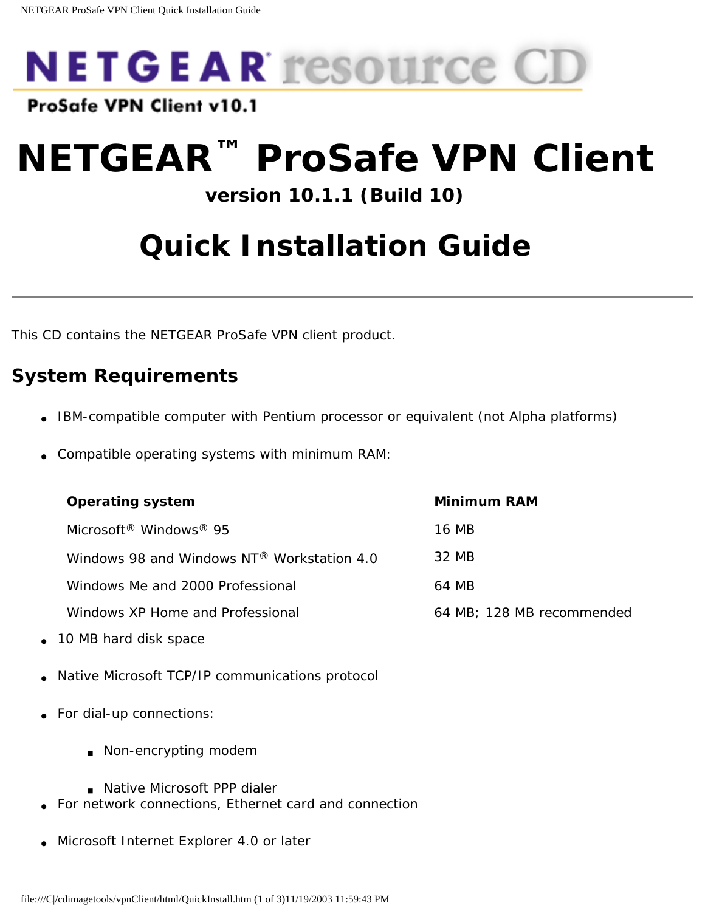

ProSafe VPN Client v10.1

# **NETGEAR™ ProSafe VPN Client**

### **version 10.1.1 (Build 10)**

# **Quick Installation Guide**

This CD contains the NETGEAR ProSafe VPN client product.

### **System Requirements**

- IBM-compatible computer with Pentium processor or equivalent (not Alpha platforms)
- Compatible operating systems with minimum RAM:

| <b>Operating system</b>                                 | Minimum RAM               |
|---------------------------------------------------------|---------------------------|
| Microsoft <sup>®</sup> Windows <sup>®</sup> 95          | 16 MB                     |
| Windows 98 and Windows $NT^{\circledR}$ Workstation 4.0 | 32 MB                     |
| Windows Me and 2000 Professional                        | 64 MB                     |
| Windows XP Home and Professional                        | 64 MB; 128 MB recommended |

- 10 MB hard disk space
- Native Microsoft TCP/IP communications protocol
- For dial-up connections:
	- Non-encrypting modem
	- Native Microsoft PPP dialer
- For network connections, Ethernet card and connection
- <span id="page-0-0"></span>Microsoft Internet Explorer 4.0 or later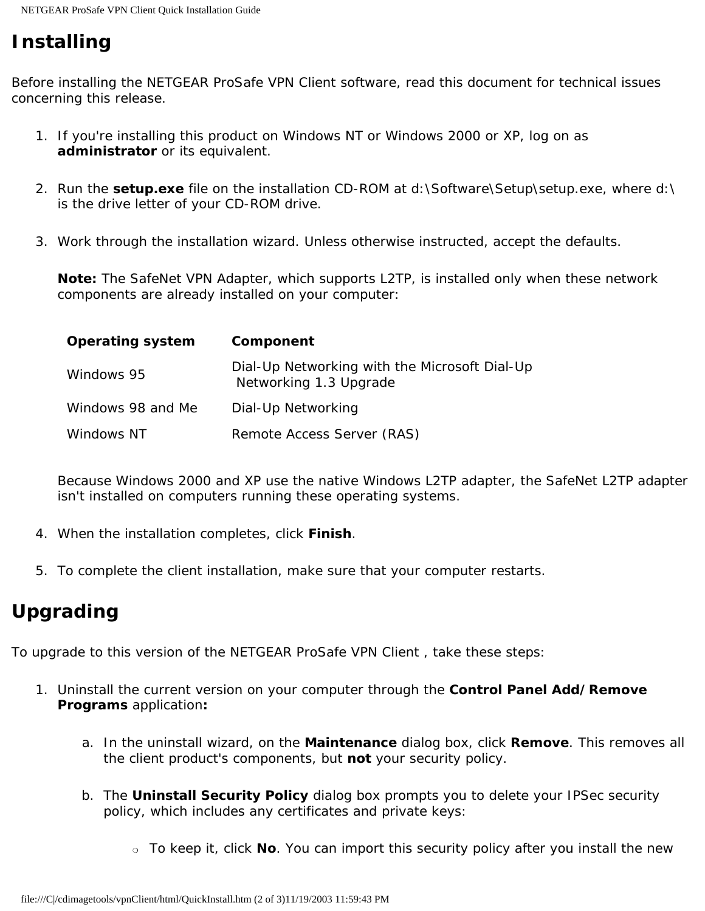## **Installing**

Before installing the NETGEAR ProSafe VPN Client software, read this document for technical issues concerning this release.

- 1. If you're installing this product on Windows NT or Windows 2000 or XP, log on as **administrator** or its equivalent.
- 2. Run the **setup.exe** file on the installation CD-ROM at d:\Software\Setup\setup.exe, where d:\ is the drive letter of your CD-ROM drive.
- 3. Work through the installation wizard. Unless otherwise instructed, accept the defaults.

**Note:** The SafeNet VPN Adapter, which supports L2TP, is installed only when these network components are already installed on your computer:

| <b>Operating system</b> | Component                                                               |
|-------------------------|-------------------------------------------------------------------------|
| Windows 95              | Dial-Up Networking with the Microsoft Dial-Up<br>Networking 1.3 Upgrade |
| Windows 98 and Me       | Dial-Up Networking                                                      |
| Windows NT              | Remote Access Server (RAS)                                              |

Because Windows 2000 and XP use the native Windows L2TP adapter, the SafeNet L2TP adapter isn't installed on computers running these operating systems.

- 4. When the installation completes, click **Finish**.
- 5. To complete the client installation, make sure that your computer restarts.

#### **Upgrading**

To upgrade to this version of the NETGEAR ProSafe VPN Client , take these steps:

- 1. Uninstall the current version on your computer through the **Control Panel Add/Remove Programs** application**:**
	- a. In the uninstall wizard, on the **Maintenance** dialog box, click **Remove**. This removes all the client product's components, but **not** your security policy.
	- b. The **Uninstall Security Policy** dialog box prompts you to delete your IPSec security policy, which includes any certificates and private keys:
		- ❍ To keep it, click **No**. You can import this security policy after you install the new